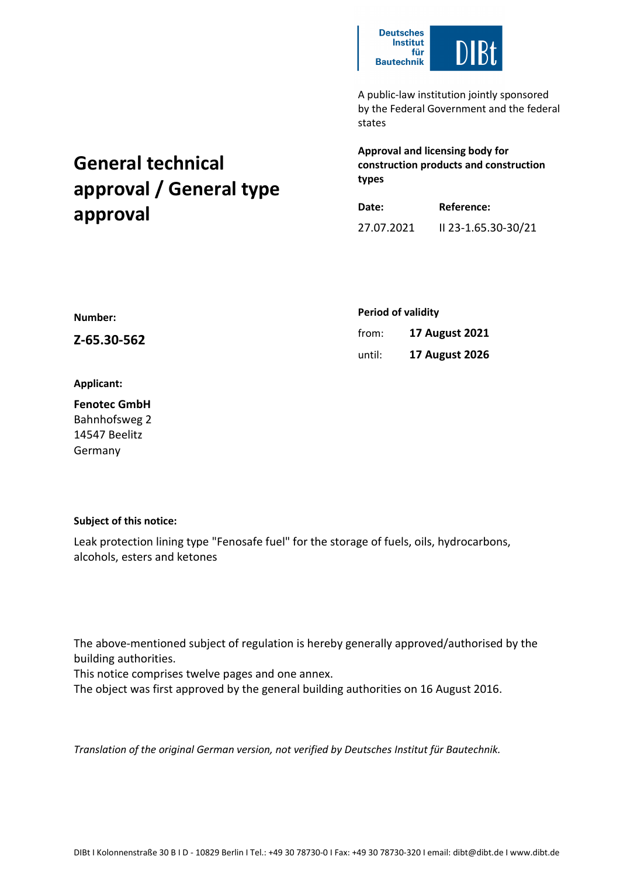

A public-law institution jointly sponsored by the Federal Government and the federal states

# **General technical approval / General type approval**

## **Approval and licensing body for construction products and construction types**

| Date:      | Reference:          |  |
|------------|---------------------|--|
| 27.07.2021 | II 23-1.65.30-30/21 |  |

| Number:     | <b>Period of validity</b> |                       |
|-------------|---------------------------|-----------------------|
| Z-65.30-562 | from:                     | <b>17 August 2021</b> |
|             | until:                    | <b>17 August 2026</b> |

#### **Applicant:**

**Fenotec GmbH** Bahnhofsweg 2 14547 Beelitz Germany

#### **Subject of this notice:**

Leak protection lining type "Fenosafe fuel" for the storage of fuels, oils, hydrocarbons, alcohols, esters and ketones

The above-mentioned subject of regulation is hereby generally approved/authorised by the building authorities.

This notice comprises twelve pages and one annex.

The object was first approved by the general building authorities on 16 August 2016.

*Translation of the original German version, not verified by Deutsches Institut für Bautechnik.*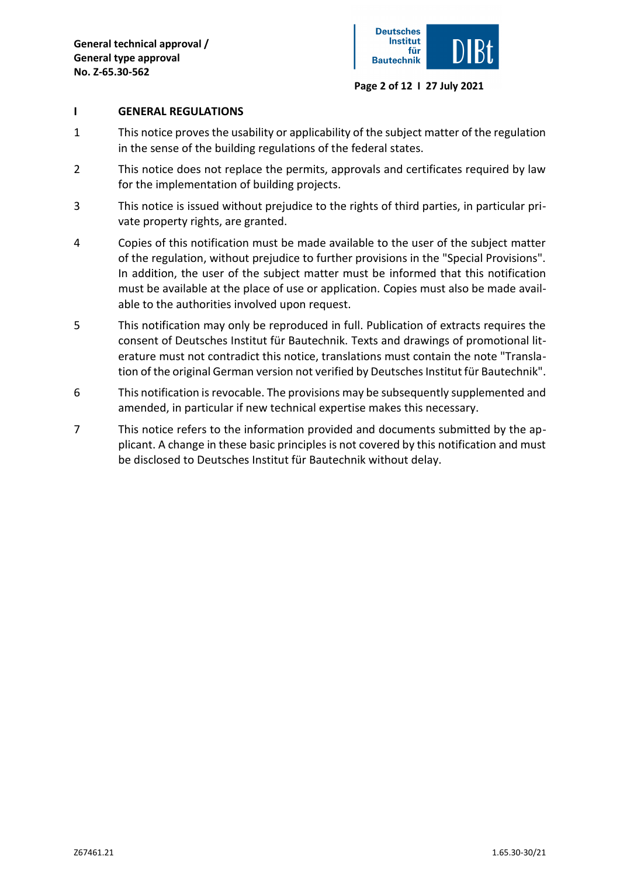

**Page 2 of 12 I 27 July 2021**

#### **I GENERAL REGULATIONS**

- 1 This notice proves the usability or applicability of the subject matter of the regulation in the sense of the building regulations of the federal states.
- 2 This notice does not replace the permits, approvals and certificates required by law for the implementation of building projects.
- 3 This notice is issued without prejudice to the rights of third parties, in particular private property rights, are granted.
- 4 Copies of this notification must be made available to the user of the subject matter of the regulation, without prejudice to further provisions in the "Special Provisions". In addition, the user of the subject matter must be informed that this notification must be available at the place of use or application. Copies must also be made available to the authorities involved upon request.
- 5 This notification may only be reproduced in full. Publication of extracts requires the consent of Deutsches Institut für Bautechnik. Texts and drawings of promotional literature must not contradict this notice, translations must contain the note "Translation of the original German version not verified by Deutsches Institut für Bautechnik".
- 6 This notification is revocable. The provisions may be subsequently supplemented and amended, in particular if new technical expertise makes this necessary.
- 7 This notice refers to the information provided and documents submitted by the applicant. A change in these basic principles is not covered by this notification and must be disclosed to Deutsches Institut für Bautechnik without delay.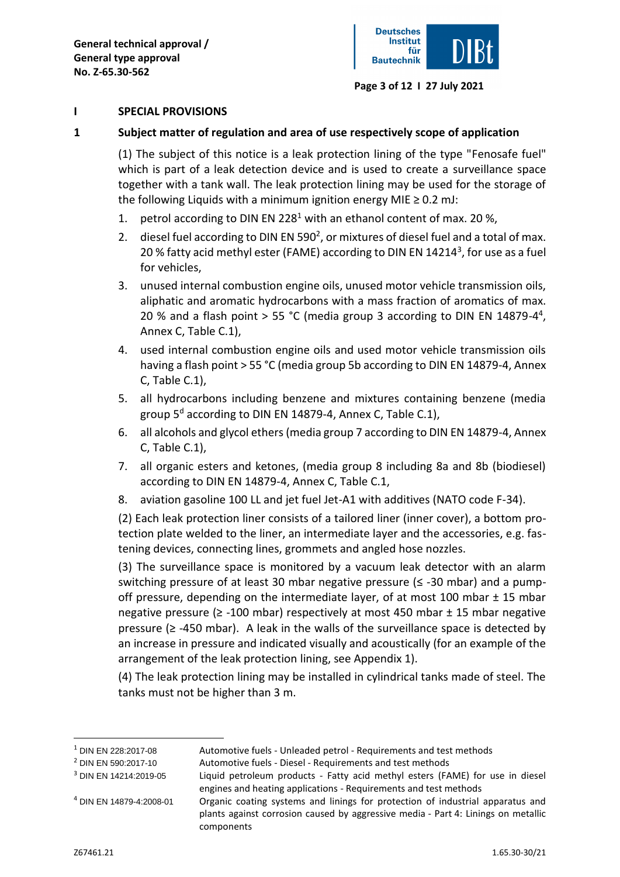

**Page 3 of 12 I 27 July 2021**

#### **I SPECIAL PROVISIONS**

#### **1 Subject matter of regulation and area of use respectively scope of application**

(1) The subject of this notice is a leak protection lining of the type "Fenosafe fuel" which is part of a leak detection device and is used to create a surveillance space together with a tank wall. The leak protection lining may be used for the storage of the following Liquids with a minimum ignition energy MIE  $\geq$  0.2 mJ:

- 1. petrol according to DIN EN 228<sup>1</sup> with an ethanol content of max. 20 %,
- 2. diesel fuel according to DIN EN 590 $^2$ , or mixtures of diesel fuel and a total of max. 20 % fatty acid methyl ester (FAME) according to DIN EN 14214<sup>3</sup>, for use as a fuel for vehicles,
- 3. unused internal combustion engine oils, unused motor vehicle transmission oils, aliphatic and aromatic hydrocarbons with a mass fraction of aromatics of max. 20 % and a flash point  $> 55$  °C (media group 3 according to DIN EN 14879-4<sup>4</sup>, Annex C, Table C.1),
- 4. used internal combustion engine oils and used motor vehicle transmission oils having a flash point > 55 °C (media group 5b according to DIN EN 14879-4, Annex C, Table C.1),
- 5. all hydrocarbons including benzene and mixtures containing benzene (media group  $5<sup>d</sup>$  according to DIN EN 14879-4, Annex C, Table C.1),
- 6. all alcohols and glycol ethers (media group 7 according to DIN EN 14879-4, Annex C, Table C.1),
- 7. all organic esters and ketones, (media group 8 including 8a and 8b (biodiesel) according to DIN EN 14879-4, Annex C, Table C.1,
- 8. aviation gasoline 100 LL and jet fuel Jet-A1 with additives (NATO code F-34).

(2) Each leak protection liner consists of a tailored liner (inner cover), a bottom protection plate welded to the liner, an intermediate layer and the accessories, e.g. fastening devices, connecting lines, grommets and angled hose nozzles.

(3) The surveillance space is monitored by a vacuum leak detector with an alarm switching pressure of at least 30 mbar negative pressure ( $\leq$  -30 mbar) and a pumpoff pressure, depending on the intermediate layer, of at most 100 mbar ± 15 mbar negative pressure ( $\geq$  -100 mbar) respectively at most 450 mbar  $\pm$  15 mbar negative pressure ( $\ge$  -450 mbar). A leak in the walls of the surveillance space is detected by an increase in pressure and indicated visually and acoustically (for an example of the arrangement of the leak protection lining, see Appendix 1).

(4) The leak protection lining may be installed in cylindrical tanks made of steel. The tanks must not be higher than 3 m.

<sup>1</sup> DIN EN 228:2017-08 Automotive fuels - Unleaded petrol - Requirements and test methods <sup>2</sup> DIN EN 590:2017-10 Automotive fuels - Diesel - Requirements and test methods

<sup>&</sup>lt;sup>3</sup> DIN EN 14214:2019-05 Liquid petroleum products - Fatty acid methyl esters (FAME) for use in diesel engines and heating applications - Requirements and test methods

<sup>4</sup> DIN EN 14879-4:2008-01 Organic coating systems and linings for protection of industrial apparatus and plants against corrosion caused by aggressive media - Part 4: Linings on metallic components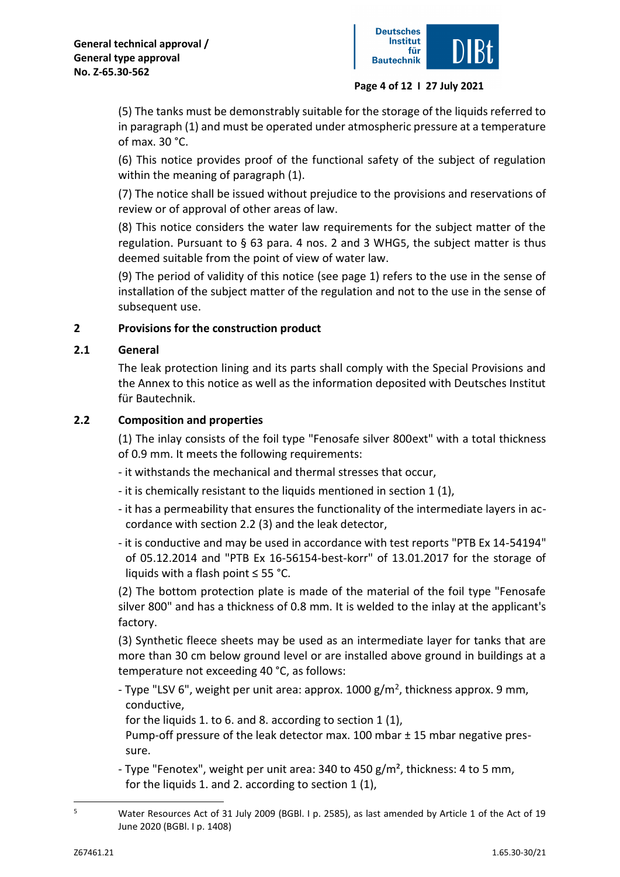

#### **Page 4 of 12 I 27 July 2021**

(5) The tanks must be demonstrably suitable for the storage of the liquids referred to in paragraph (1) and must be operated under atmospheric pressure at a temperature of max. 30 °C.

(6) This notice provides proof of the functional safety of the subject of regulation within the meaning of paragraph (1).

(7) The notice shall be issued without prejudice to the provisions and reservations of review or of approval of other areas of law.

(8) This notice considers the water law requirements for the subject matter of the regulation. Pursuant to  $\S$  63 para. 4 nos. 2 and 3 WHG5, the subject matter is thus deemed suitable from the point of view of water law.

(9) The period of validity of this notice (see page 1) refers to the use in the sense of installation of the subject matter of the regulation and not to the use in the sense of subsequent use.

## **2 Provisions for the construction product**

## **2.1 General**

The leak protection lining and its parts shall comply with the Special Provisions and the Annex to this notice as well as the information deposited with Deutsches Institut für Bautechnik.

## **2.2 Composition and properties**

(1) The inlay consists of the foil type "Fenosafe silver 800ext" with a total thickness of 0.9 mm. It meets the following requirements:

- it withstands the mechanical and thermal stresses that occur,
- it is chemically resistant to the liquids mentioned in section 1 (1),
- it has a permeability that ensures the functionality of the intermediate layers in accordance with section 2.2 (3) and the leak detector,
- it is conductive and may be used in accordance with test reports "PTB Ex 14-54194" of 05.12.2014 and "PTB Ex 16-56154-best-korr" of 13.01.2017 for the storage of liquids with a flash point ≤ 55 °C.

(2) The bottom protection plate is made of the material of the foil type "Fenosafe silver 800" and has a thickness of 0.8 mm. It is welded to the inlay at the applicant's factory.

(3) Synthetic fleece sheets may be used as an intermediate layer for tanks that are more than 30 cm below ground level or are installed above ground in buildings at a temperature not exceeding 40 °C, as follows:

- Type "LSV 6", weight per unit area: approx. 1000 g/m<sup>2</sup>, thickness approx. 9 mm, conductive,

for the liquids 1. to 6. and 8. according to section 1 (1),

Pump-off pressure of the leak detector max. 100 mbar ± 15 mbar negative pressure.

- Type "Fenotex", weight per unit area: 340 to 450 g/m<sup>2</sup>, thickness: 4 to 5 mm, for the liquids 1. and 2. according to section 1 (1),

<sup>5</sup> Water Resources Act of 31 July 2009 (BGBl. I p. 2585), as last amended by Article 1 of the Act of 19 June 2020 (BGBl. I p. 1408)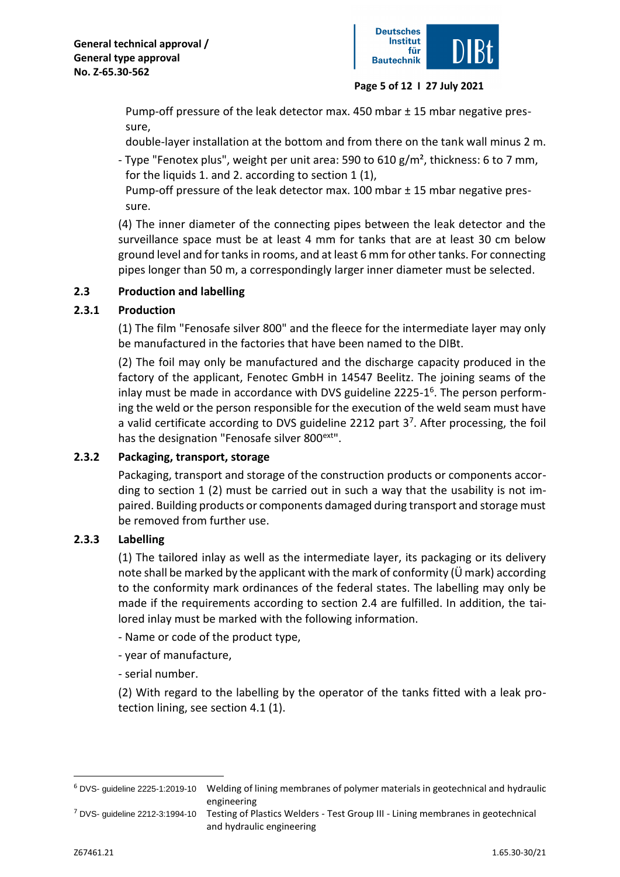

#### **Page 5 of 12 I 27 July 2021**

Pump-off pressure of the leak detector max. 450 mbar ± 15 mbar negative pressure,

double-layer installation at the bottom and from there on the tank wall minus 2 m.

- Type "Fenotex plus", weight per unit area: 590 to 610 g/m², thickness: 6 to 7 mm, for the liquids 1. and 2. according to section 1 (1),

Pump-off pressure of the leak detector max. 100 mbar ± 15 mbar negative pressure.

(4) The inner diameter of the connecting pipes between the leak detector and the surveillance space must be at least 4 mm for tanks that are at least 30 cm below ground level and for tanks in rooms, and at least 6 mm for other tanks. For connecting pipes longer than 50 m, a correspondingly larger inner diameter must be selected.

## **2.3 Production and labelling**

## **2.3.1 Production**

(1) The film "Fenosafe silver 800" and the fleece for the intermediate layer may only be manufactured in the factories that have been named to the DIBt.

(2) The foil may only be manufactured and the discharge capacity produced in the factory of the applicant, Fenotec GmbH in 14547 Beelitz. The joining seams of the inlay must be made in accordance with DVS guideline 2225-1<sup>6</sup>. The person performing the weld or the person responsible for the execution of the weld seam must have a valid certificate according to DVS guideline 2212 part  $3^7$ . After processing, the foil has the designation "Fenosafe silver 800<sup>ext</sup>".

#### **2.3.2 Packaging, transport, storage**

Packaging, transport and storage of the construction products or components according to section 1 (2) must be carried out in such a way that the usability is not impaired. Building products or components damaged during transport and storage must be removed from further use.

#### **2.3.3 Labelling**

(1) The tailored inlay as well as the intermediate layer, its packaging or its delivery note shall be marked by the applicant with the mark of conformity (Ü mark) according to the conformity mark ordinances of the federal states. The labelling may only be made if the requirements according to section 2.4 are fulfilled. In addition, the tailored inlay must be marked with the following information.

- Name or code of the product type,
- year of manufacture,
- serial number.

(2) With regard to the labelling by the operator of the tanks fitted with a leak protection lining, see section 4.1 (1).

<sup>7</sup> DVS- guideline 2212-3:1994-10 Testing of Plastics Welders - Test Group III - Lining membranes in geotechnical and hydraulic engineering

<sup>6</sup> DVS- guideline 2225-1:2019-10 Welding of lining membranes of polymer materials in geotechnical and hydraulic engineering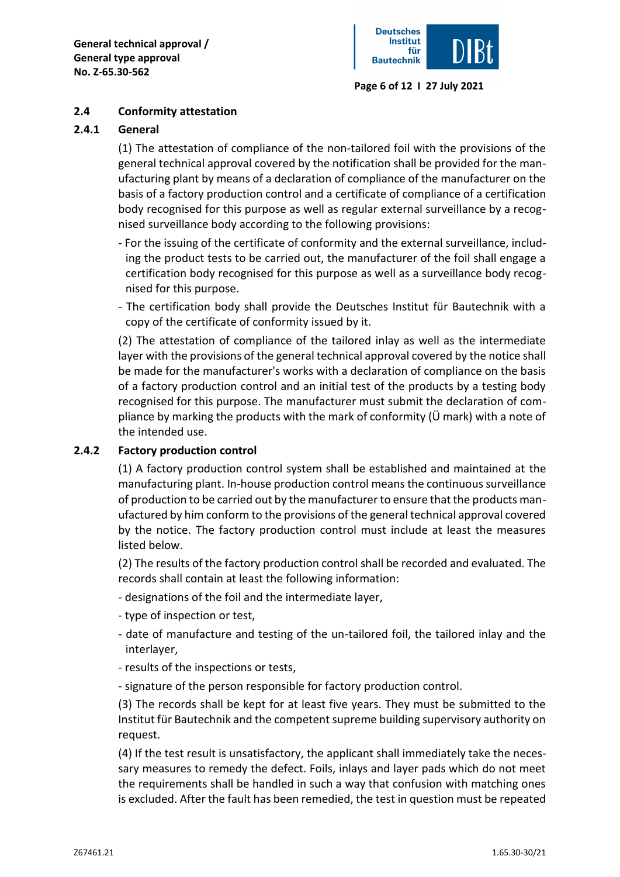

**Page 6 of 12 I 27 July 2021**

#### **2.4 Conformity attestation**

#### **2.4.1 General**

(1) The attestation of compliance of the non-tailored foil with the provisions of the general technical approval covered by the notification shall be provided for the manufacturing plant by means of a declaration of compliance of the manufacturer on the basis of a factory production control and a certificate of compliance of a certification body recognised for this purpose as well as regular external surveillance by a recognised surveillance body according to the following provisions:

- For the issuing of the certificate of conformity and the external surveillance, including the product tests to be carried out, the manufacturer of the foil shall engage a certification body recognised for this purpose as well as a surveillance body recognised for this purpose.
- The certification body shall provide the Deutsches Institut für Bautechnik with a copy of the certificate of conformity issued by it.

(2) The attestation of compliance of the tailored inlay as well as the intermediate layer with the provisions of the general technical approval covered by the notice shall be made for the manufacturer's works with a declaration of compliance on the basis of a factory production control and an initial test of the products by a testing body recognised for this purpose. The manufacturer must submit the declaration of compliance by marking the products with the mark of conformity (Ü mark) with a note of the intended use.

#### **2.4.2 Factory production control**

(1) A factory production control system shall be established and maintained at the manufacturing plant. In-house production control means the continuous surveillance of production to be carried out by the manufacturer to ensure that the products manufactured by him conform to the provisions of the general technical approval covered by the notice. The factory production control must include at least the measures listed below.

(2) The results of the factory production control shall be recorded and evaluated. The records shall contain at least the following information:

- designations of the foil and the intermediate layer,
- type of inspection or test,
- date of manufacture and testing of the un-tailored foil, the tailored inlay and the interlayer,
- results of the inspections or tests,
- signature of the person responsible for factory production control.

(3) The records shall be kept for at least five years. They must be submitted to the Institut für Bautechnik and the competent supreme building supervisory authority on request.

(4) If the test result is unsatisfactory, the applicant shall immediately take the necessary measures to remedy the defect. Foils, inlays and layer pads which do not meet the requirements shall be handled in such a way that confusion with matching ones is excluded. After the fault has been remedied, the test in question must be repeated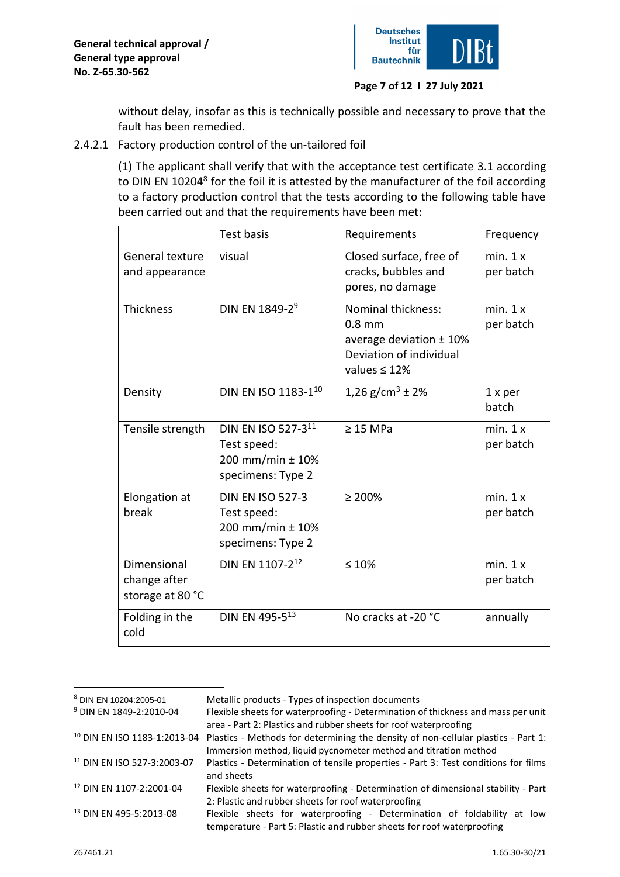

## **Page 7 of 12 I 27 July 2021**

without delay, insofar as this is technically possible and necessary to prove that the fault has been remedied.

#### 2.4.2.1 Factory production control of the un-tailored foil

(1) The applicant shall verify that with the acceptance test certificate 3.1 according to DIN EN 10204<sup>8</sup> for the foil it is attested by the manufacturer of the foil according to a factory production control that the tests according to the following table have been carried out and that the requirements have been met:

|                                                 | <b>Test basis</b>                                                               | Requirements                                                                                                  | Frequency            |
|-------------------------------------------------|---------------------------------------------------------------------------------|---------------------------------------------------------------------------------------------------------------|----------------------|
| General texture<br>and appearance               | visual                                                                          | Closed surface, free of<br>cracks, bubbles and<br>pores, no damage                                            | min. 1x<br>per batch |
| Thickness                                       | DIN EN 1849-29                                                                  | Nominal thickness:<br>$0.8$ mm<br>average deviation $± 10\%$<br>Deviation of individual<br>values $\leq 12\%$ | min. 1x<br>per batch |
| Density                                         | DIN EN ISO 1183-1 <sup>10</sup>                                                 | 1,26 g/cm <sup>3</sup> ± 2%                                                                                   | $1x$ per<br>batch    |
| Tensile strength                                | DIN EN ISO 527-311<br>Test speed:<br>200 mm/min ± 10%<br>specimens: Type 2      | $\geq$ 15 MPa                                                                                                 | min. 1x<br>per batch |
| Elongation at<br>break                          | <b>DIN EN ISO 527-3</b><br>Test speed:<br>200 mm/min ± 10%<br>specimens: Type 2 | $\geq 200\%$                                                                                                  | min. 1x<br>per batch |
| Dimensional<br>change after<br>storage at 80 °C | DIN EN 1107-2 <sup>12</sup>                                                     | $\leq 10\%$                                                                                                   | min. 1x<br>per batch |
| Folding in the<br>cold                          | DIN EN 495-513                                                                  | No cracks at -20 °C                                                                                           | annually             |

| <sup>8</sup> DIN EN 10204:2005-01       | Metallic products - Types of inspection documents                                  |
|-----------------------------------------|------------------------------------------------------------------------------------|
| <sup>9</sup> DIN EN 1849-2:2010-04      | Flexible sheets for waterproofing - Determination of thickness and mass per unit   |
|                                         | area - Part 2: Plastics and rubber sheets for roof waterproofing                   |
| <sup>10</sup> DIN EN ISO 1183-1:2013-04 | Plastics - Methods for determining the density of non-cellular plastics - Part 1:  |
|                                         | Immersion method, liquid pycnometer method and titration method                    |
| <sup>11</sup> DIN EN ISO 527-3:2003-07  | Plastics - Determination of tensile properties - Part 3: Test conditions for films |
|                                         | and sheets                                                                         |
| <sup>12</sup> DIN EN 1107-2:2001-04     | Flexible sheets for waterproofing - Determination of dimensional stability - Part  |
|                                         | 2: Plastic and rubber sheets for roof waterproofing                                |
| <sup>13</sup> DIN EN 495-5:2013-08      | Flexible sheets for waterproofing - Determination of foldability at low            |
|                                         | temperature - Part 5: Plastic and rubber sheets for roof waterproofing             |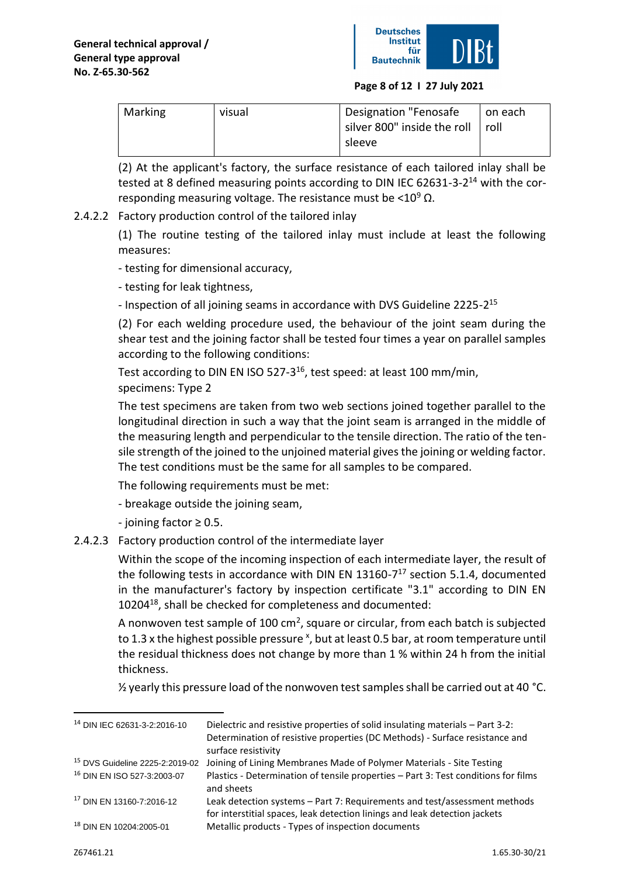

#### **Page 8 of 12 I 27 July 2021**

| Marking | visual | <sup>1</sup> Designation "Fenosafe                     | I on each |
|---------|--------|--------------------------------------------------------|-----------|
|         |        | $\frac{1}{2}$ silver 800" inside the roll $\vert$ roll |           |
|         |        | sleeve                                                 |           |

(2) At the applicant's factory, the surface resistance of each tailored inlay shall be tested at 8 defined measuring points according to DIN IEC 62631-3-2<sup>14</sup> with the corresponding measuring voltage. The resistance must be <10 $9$  Ω.

## 2.4.2.2 Factory production control of the tailored inlay

(1) The routine testing of the tailored inlay must include at least the following measures:

- testing for dimensional accuracy,

- testing for leak tightness,

- Inspection of all joining seams in accordance with DVS Guideline 2225-2<sup>15</sup>

(2) For each welding procedure used, the behaviour of the joint seam during the shear test and the joining factor shall be tested four times a year on parallel samples according to the following conditions:

Test according to DIN EN ISO 527-3<sup>16</sup>, test speed: at least 100 mm/min, specimens: Type 2

The test specimens are taken from two web sections joined together parallel to the longitudinal direction in such a way that the joint seam is arranged in the middle of the measuring length and perpendicular to the tensile direction. The ratio of the tensile strength of the joined to the unjoined material gives the joining or welding factor. The test conditions must be the same for all samples to be compared.

The following requirements must be met:

- breakage outside the joining seam,

- joining factor ≥ 0.5.

#### 2.4.2.3 Factory production control of the intermediate layer

Within the scope of the incoming inspection of each intermediate layer, the result of the following tests in accordance with DIN EN 13160-7<sup>17</sup> section 5.1.4, documented in the manufacturer's factory by inspection certificate "3.1" according to DIN EN 10204<sup>18</sup>, shall be checked for completeness and documented:

A nonwoven test sample of 100  $cm<sup>2</sup>$ , square or circular, from each batch is subjected to 1.3 x the highest possible pressure<sup>x</sup>, but at least 0.5 bar, at room temperature until the residual thickness does not change by more than 1 % within 24 h from the initial thickness.

 $\frac{1}{2}$  yearly this pressure load of the nonwoven test samples shall be carried out at 40 °C.

| <sup>14</sup> DIN IEC 62631-3-2:2016-10    | Dielectric and resistive properties of solid insulating materials – Part 3-2:<br>Determination of resistive properties (DC Methods) - Surface resistance and<br>surface resistivity |
|--------------------------------------------|-------------------------------------------------------------------------------------------------------------------------------------------------------------------------------------|
| <sup>15</sup> DVS Guideline 2225-2:2019-02 | Joining of Lining Membranes Made of Polymer Materials - Site Testing                                                                                                                |
| <sup>16</sup> DIN EN ISO 527-3:2003-07     | Plastics - Determination of tensile properties - Part 3: Test conditions for films<br>and sheets                                                                                    |
| <sup>17</sup> DIN EN 13160-7:2016-12       | Leak detection systems - Part 7: Requirements and test/assessment methods<br>for interstitial spaces, leak detection linings and leak detection jackets                             |
| <sup>18</sup> DIN EN 10204:2005-01         | Metallic products - Types of inspection documents                                                                                                                                   |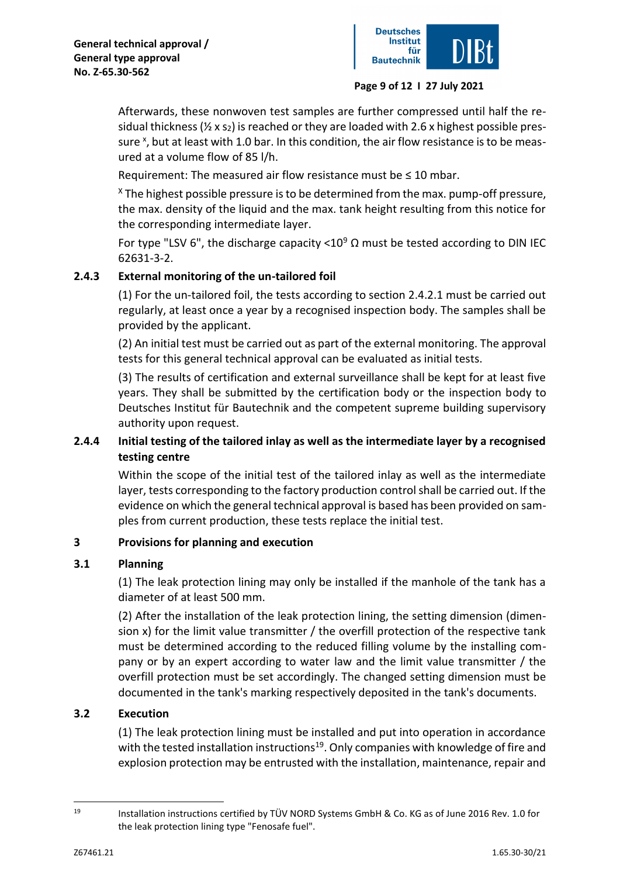

#### **Page 9 of 12 I 27 July 2021**

Afterwards, these nonwoven test samples are further compressed until half the residual thickness ( $\frac{1}{2}$  x s<sub>2</sub>) is reached or they are loaded with 2.6 x highest possible pressure<sup>x</sup>, but at least with 1.0 bar. In this condition, the air flow resistance is to be measured at a volume flow of 85 l/h.

Requirement: The measured air flow resistance must be  $\leq 10$  mbar.

 $X$  The highest possible pressure is to be determined from the max. pump-off pressure, the max. density of the liquid and the max. tank height resulting from this notice for the corresponding intermediate layer.

For type "LSV 6", the discharge capacity <10<sup>9</sup>  $\Omega$  must be tested according to DIN IEC 62631-3-2.

## **2.4.3 External monitoring of the un-tailored foil**

(1) For the un-tailored foil, the tests according to section 2.4.2.1 must be carried out regularly, at least once a year by a recognised inspection body. The samples shall be provided by the applicant.

(2) An initial test must be carried out as part of the external monitoring. The approval tests for this general technical approval can be evaluated as initial tests.

(3) The results of certification and external surveillance shall be kept for at least five years. They shall be submitted by the certification body or the inspection body to Deutsches Institut für Bautechnik and the competent supreme building supervisory authority upon request.

# **2.4.4 Initial testing of the tailored inlay as well as the intermediate layer by a recognised testing centre**

Within the scope of the initial test of the tailored inlay as well as the intermediate layer, tests corresponding to the factory production control shall be carried out. If the evidence on which the general technical approval is based has been provided on samples from current production, these tests replace the initial test.

#### **3 Provisions for planning and execution**

#### **3.1 Planning**

(1) The leak protection lining may only be installed if the manhole of the tank has a diameter of at least 500 mm.

(2) After the installation of the leak protection lining, the setting dimension (dimension x) for the limit value transmitter / the overfill protection of the respective tank must be determined according to the reduced filling volume by the installing company or by an expert according to water law and the limit value transmitter / the overfill protection must be set accordingly. The changed setting dimension must be documented in the tank's marking respectively deposited in the tank's documents.

#### **3.2 Execution**

(1) The leak protection lining must be installed and put into operation in accordance with the tested installation instructions<sup>19</sup>. Only companies with knowledge of fire and explosion protection may be entrusted with the installation, maintenance, repair and

<sup>19</sup> Installation instructions certified by TÜV NORD Systems GmbH & Co. KG as of June 2016 Rev. 1.0 for the leak protection lining type "Fenosafe fuel".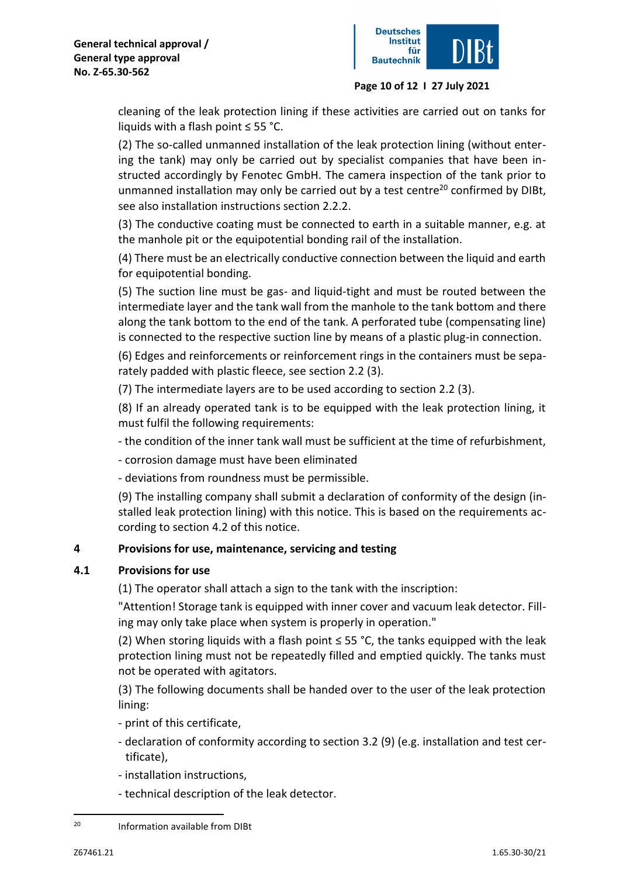

#### **Page 10 of 12 I 27 July 2021**

cleaning of the leak protection lining if these activities are carried out on tanks for liquids with a flash point ≤ 55 °C.

(2) The so-called unmanned installation of the leak protection lining (without entering the tank) may only be carried out by specialist companies that have been instructed accordingly by Fenotec GmbH. The camera inspection of the tank prior to unmanned installation may only be carried out by a test centre<sup>20</sup> confirmed by DIBt, see also installation instructions section 2.2.2.

(3) The conductive coating must be connected to earth in a suitable manner, e.g. at the manhole pit or the equipotential bonding rail of the installation.

(4) There must be an electrically conductive connection between the liquid and earth for equipotential bonding.

(5) The suction line must be gas- and liquid-tight and must be routed between the intermediate layer and the tank wall from the manhole to the tank bottom and there along the tank bottom to the end of the tank. A perforated tube (compensating line) is connected to the respective suction line by means of a plastic plug-in connection.

(6) Edges and reinforcements or reinforcement rings in the containers must be separately padded with plastic fleece, see section 2.2 (3).

(7) The intermediate layers are to be used according to section 2.2 (3).

(8) If an already operated tank is to be equipped with the leak protection lining, it must fulfil the following requirements:

- the condition of the inner tank wall must be sufficient at the time of refurbishment,

- corrosion damage must have been eliminated

- deviations from roundness must be permissible.

(9) The installing company shall submit a declaration of conformity of the design (installed leak protection lining) with this notice. This is based on the requirements according to section 4.2 of this notice.

# **4 Provisions for use, maintenance, servicing and testing**

# **4.1 Provisions for use**

(1) The operator shall attach a sign to the tank with the inscription:

"Attention! Storage tank is equipped with inner cover and vacuum leak detector. Filling may only take place when system is properly in operation."

(2) When storing liquids with a flash point  $\leq$  55 °C, the tanks equipped with the leak protection lining must not be repeatedly filled and emptied quickly. The tanks must not be operated with agitators.

(3) The following documents shall be handed over to the user of the leak protection lining:

- print of this certificate,

- declaration of conformity according to section 3.2 (9) (e.g. installation and test certificate),
- installation instructions,
- technical description of the leak detector.

<sup>&</sup>lt;sup>20</sup> Information available from DIBt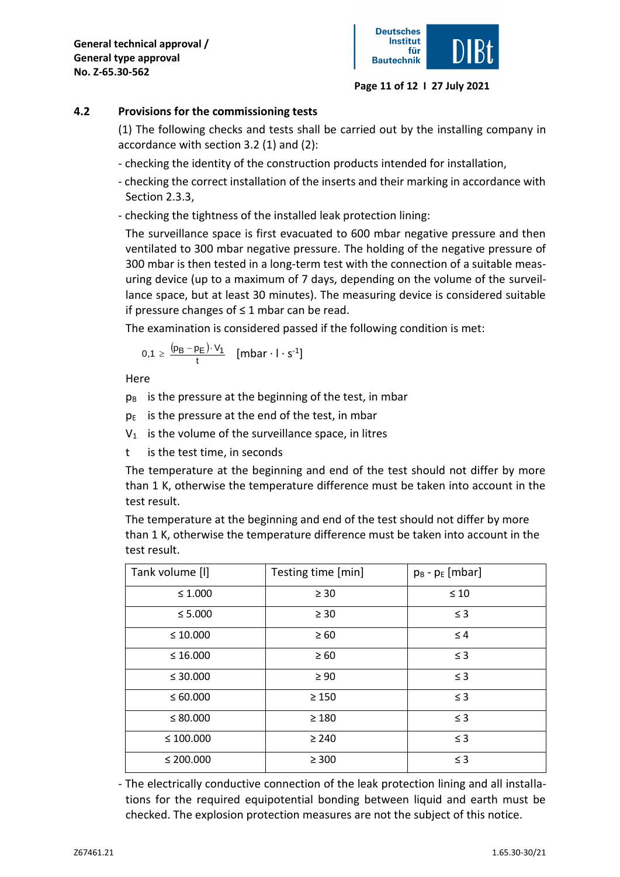

#### **Page 11 of 12 I 27 July 2021**

#### **4.2 Provisions for the commissioning tests**

(1) The following checks and tests shall be carried out by the installing company in accordance with section 3.2 (1) and (2):

- checking the identity of the construction products intended for installation,
- checking the correct installation of the inserts and their marking in accordance with Section 2.3.3,
- checking the tightness of the installed leak protection lining:

The surveillance space is first evacuated to 600 mbar negative pressure and then ventilated to 300 mbar negative pressure. The holding of the negative pressure of 300 mbar is then tested in a long-term test with the connection of a suitable measuring device (up to a maximum of 7 days, depending on the volume of the surveillance space, but at least 30 minutes). The measuring device is considered suitable if pressure changes of ≤ 1 mbar can be read.

The examination is considered passed if the following condition is met:

$$
0,1 \geq \frac{(p_B - p_E) \cdot V_1}{t} \quad [mbar \cdot l \cdot s^{-1}]
$$

- $p<sub>E</sub>$  is the pressure at the end of the test, in mbar
- $V_1$  is the volume of the surveillance space, in litres
- t is the test time, in seconds

| $0,1 \geq \frac{(p_B - p_E) \cdot V_1}{t}$ [mbar $\cdot$ l $\cdot$ s <sup>-1</sup> ]                                                                                                                                                                      |                                                       |                    |  |
|-----------------------------------------------------------------------------------------------------------------------------------------------------------------------------------------------------------------------------------------------------------|-------------------------------------------------------|--------------------|--|
| Here                                                                                                                                                                                                                                                      |                                                       |                    |  |
| pв                                                                                                                                                                                                                                                        | is the pressure at the beginning of the test, in mbar |                    |  |
| is the pressure at the end of the test, in mbar<br>PE                                                                                                                                                                                                     |                                                       |                    |  |
| $V_1$                                                                                                                                                                                                                                                     | is the volume of the surveillance space, in litres    |                    |  |
| is the test time, in seconds<br>t                                                                                                                                                                                                                         |                                                       |                    |  |
| The temperature at the beginning and end of the test should not differ by more<br>than 1 K, otherwise the temperature difference must be taken into account in the<br>test result.                                                                        |                                                       |                    |  |
| The temperature at the beginning and end of the test should not differ by more                                                                                                                                                                            |                                                       |                    |  |
| than 1 K, otherwise the temperature difference must be taken into account in the<br>test result.                                                                                                                                                          |                                                       |                    |  |
| Tank volume [I]                                                                                                                                                                                                                                           | Testing time [min]                                    | $p_B - p_E$ [mbar] |  |
| $\leq 1.000$                                                                                                                                                                                                                                              | $\geq 30$                                             | $\leq 10$          |  |
| $\leq 5.000$                                                                                                                                                                                                                                              | $\geq 30$                                             | $\leq$ 3           |  |
| $\leq 10.000$                                                                                                                                                                                                                                             | $\geq 60$                                             | $\leq 4$           |  |
| $\leq 16.000$                                                                                                                                                                                                                                             | $\geq 60$                                             | $\leq$ 3           |  |
| $\leq 30.000$                                                                                                                                                                                                                                             | $\geq 90$                                             | $\leq$ 3           |  |
| $\leq 60.000$                                                                                                                                                                                                                                             | $\geq 150$                                            | $\leq$ 3           |  |
| $\leq 80.000$                                                                                                                                                                                                                                             | $\geq 180$                                            | $\leq$ 3           |  |
| $\leq 100.000$                                                                                                                                                                                                                                            | $\geq 240$                                            | $\leq$ 3           |  |
| $\leq 200.000$                                                                                                                                                                                                                                            | $\geq 300$                                            | $\leq$ 3           |  |
| The electrically conductive connection of the leak protection lining and all installa-<br>tions for the required equipotential bonding between liquid and earth must be<br>checked. The explosion protection measures are not the subject of this notice. |                                                       |                    |  |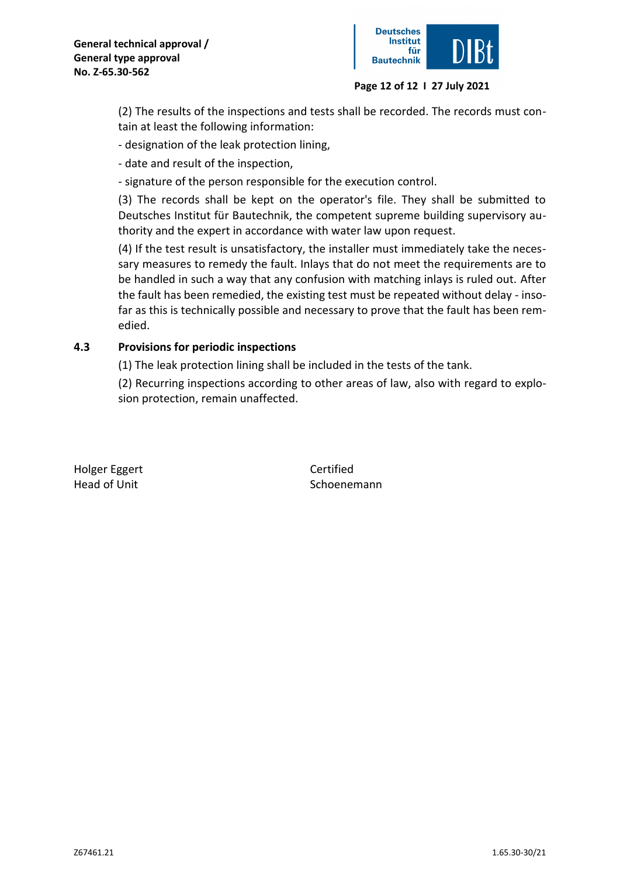

#### **Page 12 of 12 I 27 July 2021**

(2) The results of the inspections and tests shall be recorded. The records must contain at least the following information:

- designation of the leak protection lining,
- date and result of the inspection,
- signature of the person responsible for the execution control.

(3) The records shall be kept on the operator's file. They shall be submitted to Deutsches Institut für Bautechnik, the competent supreme building supervisory authority and the expert in accordance with water law upon request.

(4) If the test result is unsatisfactory, the installer must immediately take the necessary measures to remedy the fault. Inlays that do not meet the requirements are to be handled in such a way that any confusion with matching inlays is ruled out. After the fault has been remedied, the existing test must be repeated without delay - insofar as this is technically possible and necessary to prove that the fault has been remedied.

## **4.3 Provisions for periodic inspections**

(1) The leak protection lining shall be included in the tests of the tank.

(2) Recurring inspections according to other areas of law, also with regard to explosion protection, remain unaffected.

Holger Eggert Certified Head of Unit National Schoenemann